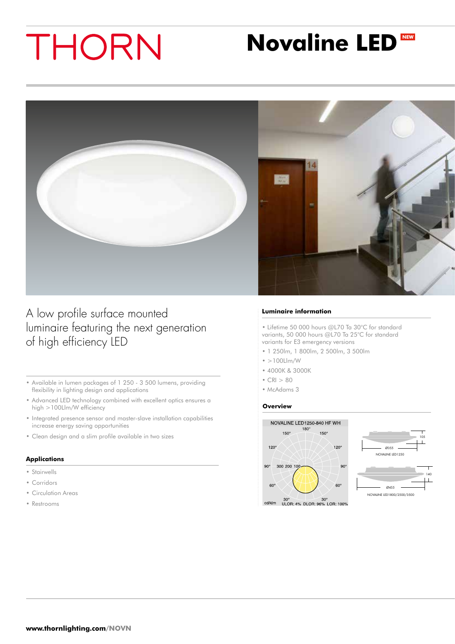# THORN

# **Novaline LED**



A low profile surface mounted luminaire featuring the next generation of high efficiency LED

- • Available in lumen packages of 1 250 3 500 lumens, providing flexibility in lighting design and applications
- • Advanced LED technology combined with excellent optics ensures a high >100Llm/W efficiency
- Integrated presence sensor and master-slave installation capabilities increase energy saving opportunities
- • Clean design and a slim profile available in two sizes

### **Applications**

- • Stairwells
- • Corridors
- • Circulation Areas
- • Restrooms

#### **Luminaire information**

• Lifetime 50 000 hours @L70 Ta 30°C for standard variants, 50 000 hours @L70 Ta 25°C for standard variants for E3 emergency versions

- 1 250lm, 1 800lm, 2 500lm, 3 500lm
- $\cdot$  >100Llm/W
- 4000K & 3000K
- $CRI > 80$
- McAdams 3

#### **Overview**





30° 30° 30°<br>cd/klm ULOR: 4% DLOR: 96% LOR: 100%